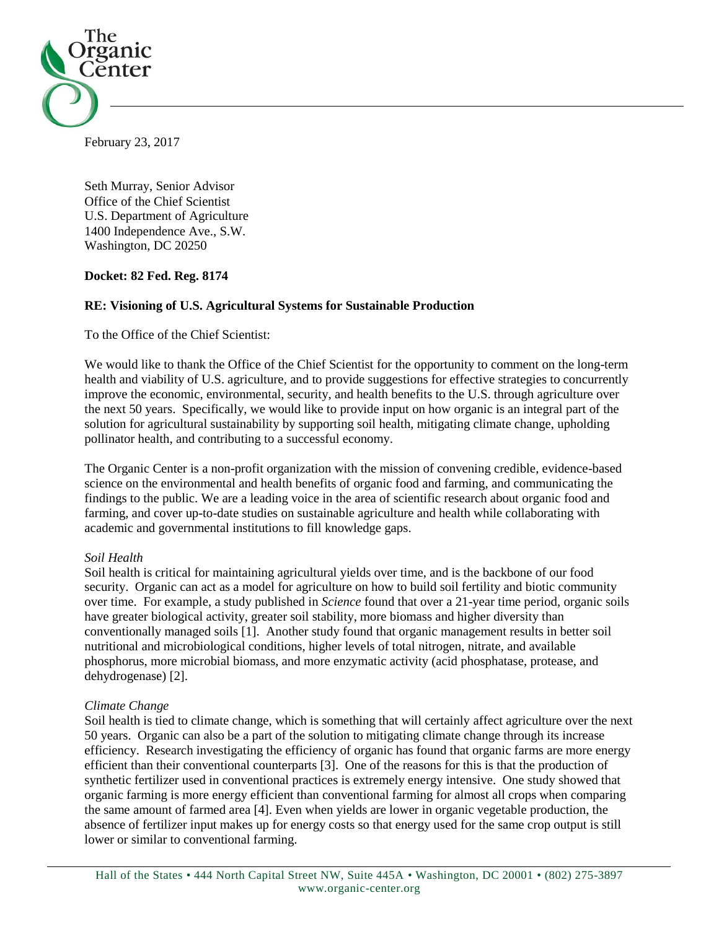

February 23, 2017

Seth Murray, Senior Advisor Office of the Chief Scientist U.S. Department of Agriculture 1400 Independence Ave., S.W. Washington, DC 20250

# **Docket: 82 Fed. Reg. 8174**

# **RE: Visioning of U.S. Agricultural Systems for Sustainable Production**

To the Office of the Chief Scientist:

We would like to thank the Office of the Chief Scientist for the opportunity to comment on the long-term health and viability of U.S. agriculture, and to provide suggestions for effective strategies to concurrently improve the economic, environmental, security, and health benefits to the U.S. through agriculture over the next 50 years. Specifically, we would like to provide input on how organic is an integral part of the solution for agricultural sustainability by supporting soil health, mitigating climate change, upholding pollinator health, and contributing to a successful economy.

The Organic Center is a non-profit organization with the mission of convening credible, evidence-based science on the environmental and health benefits of organic food and farming, and communicating the findings to the public. We are a leading voice in the area of scientific research about organic food and farming, and cover up-to-date studies on sustainable agriculture and health while collaborating with academic and governmental institutions to fill knowledge gaps.

### *Soil Health*

Soil health is critical for maintaining agricultural yields over time, and is the backbone of our food security. Organic can act as a model for agriculture on how to build soil fertility and biotic community over time. For example, a study published in *Science* found that over a 21-year time period, organic soils have greater biological activity, greater soil stability, more biomass and higher diversity than conventionally managed soils [\[1\]](#page-2-0). Another study found that organic management results in better soil nutritional and microbiological conditions, higher levels of total nitrogen, nitrate, and available phosphorus, more microbial biomass, and more enzymatic activity (acid phosphatase, protease, and dehydrogenase) [\[2\]](#page-2-1).

### *Climate Change*

Soil health is tied to climate change, which is something that will certainly affect agriculture over the next 50 years. Organic can also be a part of the solution to mitigating climate change through its increase efficiency. Research investigating the efficiency of organic has found that organic farms are more energy efficient than their conventional counterparts [\[3\]](#page-2-2). One of the reasons for this is that the production of synthetic fertilizer used in conventional practices is extremely energy intensive. One study showed that organic farming is more energy efficient than conventional farming for almost all crops when comparing the same amount of farmed area [\[4\]](#page-2-3). Even when yields are lower in organic vegetable production, the absence of fertilizer input makes up for energy costs so that energy used for the same crop output is still lower or similar to conventional farming.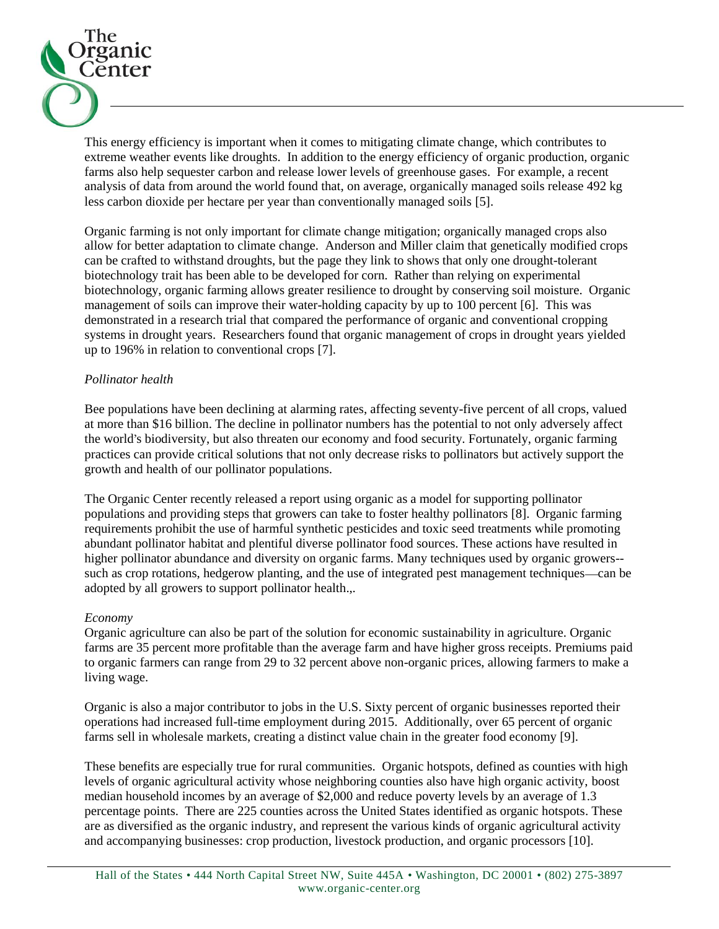

This energy efficiency is important when it comes to mitigating climate change, which contributes to extreme weather events like droughts. In addition to the energy efficiency of organic production, organic farms also help sequester carbon and release lower levels of greenhouse gases. For example, a recent analysis of data from around the world found that, on average, organically managed soils release 492 kg less carbon dioxide per hectare per year than conventionally managed soils [\[5\]](#page-2-4).

Organic farming is not only important for climate change mitigation; organically managed crops also allow for better adaptation to climate change. Anderson and Miller claim that genetically modified crops can be crafted to withstand droughts, but the page they link to shows that only one drought-tolerant biotechnology trait has been able to be developed for corn. Rather than relying on experimental biotechnology, organic farming allows greater resilience to drought by conserving soil moisture. Organic management of soils can improve their water-holding capacity by up to 100 percent [\[6\]](#page-2-5). This was demonstrated in a research trial that compared the performance of organic and conventional cropping systems in drought years. Researchers found that organic management of crops in drought years yielded up to 196% in relation to conventional crops [\[7\]](#page-2-6).

# *Pollinator health*

Bee populations have been declining at alarming rates, affecting seventy-five percent of all crops, valued at more than \$16 billion. The decline in pollinator numbers has the potential to not only adversely affect the world's biodiversity, but also threaten our economy and food security. Fortunately, organic farming practices can provide critical solutions that not only decrease risks to pollinators but actively support the growth and health of our pollinator populations.

The Organic Center recently released a report using organic as a model for supporting pollinator populations and providing steps that growers can take to foster healthy pollinators [\[8\]](#page-2-7). Organic farming requirements prohibit the use of harmful synthetic pesticides and toxic seed treatments while promoting abundant pollinator habitat and plentiful diverse pollinator food sources. These actions have resulted in higher pollinator abundance and diversity on organic farms. Many techniques used by organic growers- such as crop rotations, hedgerow planting, and the use of integrated pest management techniques—can be adopted by all growers to support pollinator health.,.

### *Economy*

Organic agriculture can also be part of the solution for economic sustainability in agriculture. Organic farms are 35 percent more profitable than the average farm and have higher gross receipts. Premiums paid to organic farmers can range from 29 to 32 percent above non-organic prices, allowing farmers to make a living wage.

Organic is also a major contributor to jobs in the U.S. Sixty percent of organic businesses reported their operations had increased full-time employment during 2015. Additionally, over 65 percent of organic farms sell in wholesale markets, creating a distinct value chain in the greater food economy [\[9\]](#page-2-8).

These benefits are especially true for rural communities. Organic hotspots, defined as counties with high levels of organic agricultural activity whose neighboring counties also have high organic activity, boost median household incomes by an average of \$2,000 and reduce poverty levels by an average of 1.3 percentage points. There are 225 counties across the United States identified as organic hotspots. These are as diversified as the organic industry, and represent the various kinds of organic agricultural activity and accompanying businesses: crop production, livestock production, and organic processors [\[10\]](#page-2-9).